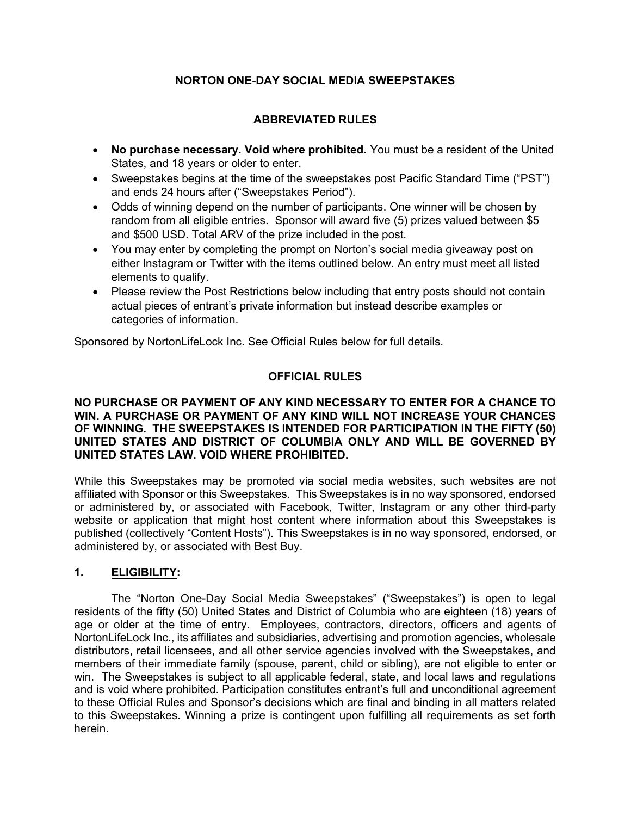# NORTON ONE-DAY SOCIAL MEDIA SWEEPSTAKES

# ABBREVIATED RULES

- No purchase necessary. Void where prohibited. You must be a resident of the United States, and 18 years or older to enter.
- Sweepstakes begins at the time of the sweepstakes post Pacific Standard Time ("PST") and ends 24 hours after ("Sweepstakes Period").
- Odds of winning depend on the number of participants. One winner will be chosen by random from all eligible entries. Sponsor will award five (5) prizes valued between \$5 and \$500 USD. Total ARV of the prize included in the post.
- You may enter by completing the prompt on Norton's social media giveaway post on either Instagram or Twitter with the items outlined below. An entry must meet all listed elements to qualify.
- Please review the Post Restrictions below including that entry posts should not contain actual pieces of entrant's private information but instead describe examples or categories of information.

Sponsored by NortonLifeLock Inc. See Official Rules below for full details.

# OFFICIAL RULES

#### NO PURCHASE OR PAYMENT OF ANY KIND NECESSARY TO ENTER FOR A CHANCE TO WIN. A PURCHASE OR PAYMENT OF ANY KIND WILL NOT INCREASE YOUR CHANCES OF WINNING. THE SWEEPSTAKES IS INTENDED FOR PARTICIPATION IN THE FIFTY (50) UNITED STATES AND DISTRICT OF COLUMBIA ONLY AND WILL BE GOVERNED BY UNITED STATES LAW. VOID WHERE PROHIBITED.

While this Sweepstakes may be promoted via social media websites, such websites are not affiliated with Sponsor or this Sweepstakes. This Sweepstakes is in no way sponsored, endorsed or administered by, or associated with Facebook, Twitter, Instagram or any other third-party website or application that might host content where information about this Sweepstakes is published (collectively "Content Hosts"). This Sweepstakes is in no way sponsored, endorsed, or administered by, or associated with Best Buy.

### 1. ELIGIBILITY:

The "Norton One-Day Social Media Sweepstakes" ("Sweepstakes") is open to legal residents of the fifty (50) United States and District of Columbia who are eighteen (18) years of age or older at the time of entry. Employees, contractors, directors, officers and agents of NortonLifeLock Inc., its affiliates and subsidiaries, advertising and promotion agencies, wholesale distributors, retail licensees, and all other service agencies involved with the Sweepstakes, and members of their immediate family (spouse, parent, child or sibling), are not eligible to enter or win. The Sweepstakes is subject to all applicable federal, state, and local laws and regulations and is void where prohibited. Participation constitutes entrant's full and unconditional agreement to these Official Rules and Sponsor's decisions which are final and binding in all matters related to this Sweepstakes. Winning a prize is contingent upon fulfilling all requirements as set forth herein.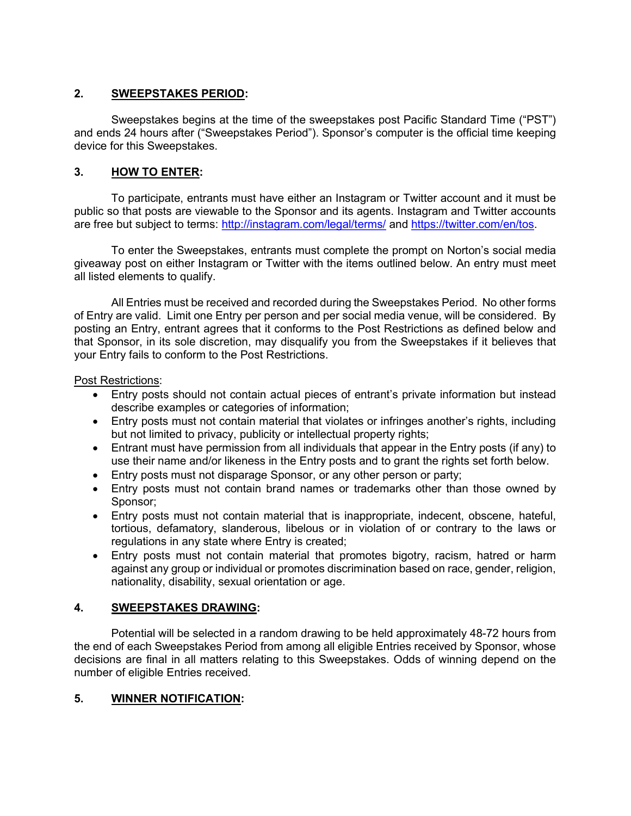### 2. SWEEPSTAKES PERIOD:

Sweepstakes begins at the time of the sweepstakes post Pacific Standard Time ("PST") and ends 24 hours after ("Sweepstakes Period"). Sponsor's computer is the official time keeping device for this Sweepstakes.

### 3. HOW TO ENTER:

To participate, entrants must have either an Instagram or Twitter account and it must be public so that posts are viewable to the Sponsor and its agents. Instagram and Twitter accounts are free but subject to terms: http://instagram.com/legal/terms/ and https://twitter.com/en/tos.

To enter the Sweepstakes, entrants must complete the prompt on Norton's social media giveaway post on either Instagram or Twitter with the items outlined below. An entry must meet all listed elements to qualify.

All Entries must be received and recorded during the Sweepstakes Period. No other forms of Entry are valid. Limit one Entry per person and per social media venue, will be considered. By posting an Entry, entrant agrees that it conforms to the Post Restrictions as defined below and that Sponsor, in its sole discretion, may disqualify you from the Sweepstakes if it believes that your Entry fails to conform to the Post Restrictions.

#### Post Restrictions:

- Entry posts should not contain actual pieces of entrant's private information but instead describe examples or categories of information;
- Entry posts must not contain material that violates or infringes another's rights, including but not limited to privacy, publicity or intellectual property rights;
- Entrant must have permission from all individuals that appear in the Entry posts (if any) to use their name and/or likeness in the Entry posts and to grant the rights set forth below.
- Entry posts must not disparage Sponsor, or any other person or party;
- Entry posts must not contain brand names or trademarks other than those owned by Sponsor;
- Entry posts must not contain material that is inappropriate, indecent, obscene, hateful, tortious, defamatory, slanderous, libelous or in violation of or contrary to the laws or regulations in any state where Entry is created;
- Entry posts must not contain material that promotes bigotry, racism, hatred or harm against any group or individual or promotes discrimination based on race, gender, religion, nationality, disability, sexual orientation or age.

# 4. SWEEPSTAKES DRAWING:

Potential will be selected in a random drawing to be held approximately 48-72 hours from the end of each Sweepstakes Period from among all eligible Entries received by Sponsor, whose decisions are final in all matters relating to this Sweepstakes. Odds of winning depend on the number of eligible Entries received.

### 5. WINNER NOTIFICATION: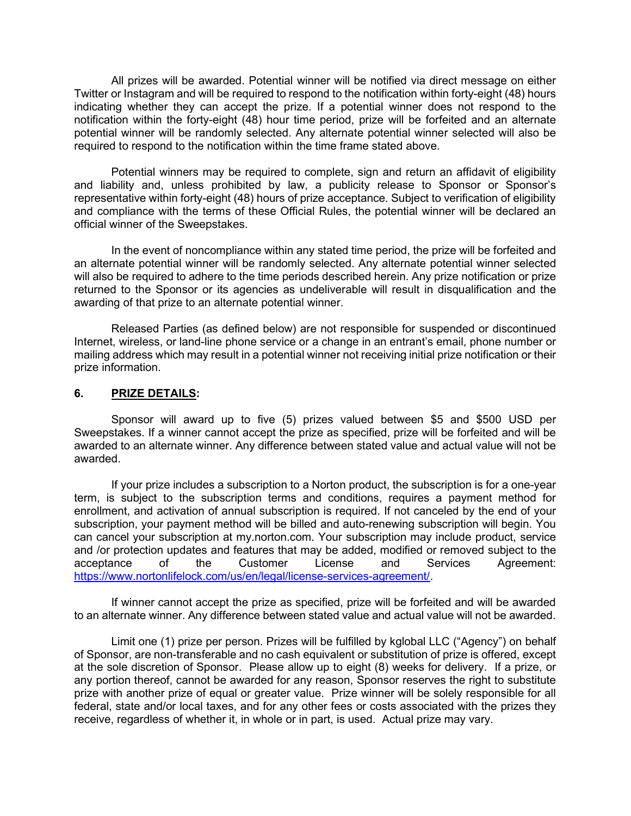All prizes will be awarded. Potential winner will be notified via direct message on either Twitter or Instagram and will be required to respond to the notification within forty-eight (48) hours indicating whether they can accept the prize. If a potential winner does not respond to the notification within the forty-eight (48) hour time period, prize will be forfeited and an alternate potential winner will be randomly selected. Any alternate potential winner selected will also be required to respond to the notification within the time frame stated above.

Potential winners may be required to complete, sign and return an affidavit of eligibility and liability and, unless prohibited by law, a publicity release to Sponsor or Sponsor's representative within forty-eight (48) hours of prize acceptance. Subject to verification of eligibility and compliance with the terms of these Official Rules, the potential winner will be declared an official winner of the Sweepstakes.

 In the event of noncompliance within any stated time period, the prize will be forfeited and an alternate potential winner will be randomly selected. Any alternate potential winner selected will also be required to adhere to the time periods described herein. Any prize notification or prize returned to the Sponsor or its agencies as undeliverable will result in disqualification and the awarding of that prize to an alternate potential winner.

 Released Parties (as defined below) are not responsible for suspended or discontinued Internet, wireless, or land-line phone service or a change in an entrant's email, phone number or mailing address which may result in a potential winner not receiving initial prize notification or their prize information.

#### 6. PRIZE DETAILS:

 Sponsor will award up to five (5) prizes valued between \$5 and \$500 USD per Sweepstakes. If a winner cannot accept the prize as specified, prize will be forfeited and will be awarded to an alternate winner. Any difference between stated value and actual value will not be awarded.

 If your prize includes a subscription to a Norton product, the subscription is for a one-year term, is subject to the subscription terms and conditions, requires a payment method for enrollment, and activation of annual subscription is required. If not canceled by the end of your subscription, your payment method will be billed and auto-renewing subscription will begin. You can cancel your subscription at my.norton.com. Your subscription may include product, service and /or protection updates and features that may be added, modified or removed subject to the acceptance of the Customer License and Services Agreement: https://www.nortonlifelock.com/us/en/legal/license-services-agreement/.

If winner cannot accept the prize as specified, prize will be forfeited and will be awarded to an alternate winner. Any difference between stated value and actual value will not be awarded.

Limit one (1) prize per person. Prizes will be fulfilled by kglobal LLC ("Agency") on behalf of Sponsor, are non-transferable and no cash equivalent or substitution of prize is offered, except at the sole discretion of Sponsor. Please allow up to eight (8) weeks for delivery. If a prize, or any portion thereof, cannot be awarded for any reason, Sponsor reserves the right to substitute prize with another prize of equal or greater value. Prize winner will be solely responsible for all federal, state and/or local taxes, and for any other fees or costs associated with the prizes they receive, regardless of whether it, in whole or in part, is used. Actual prize may vary.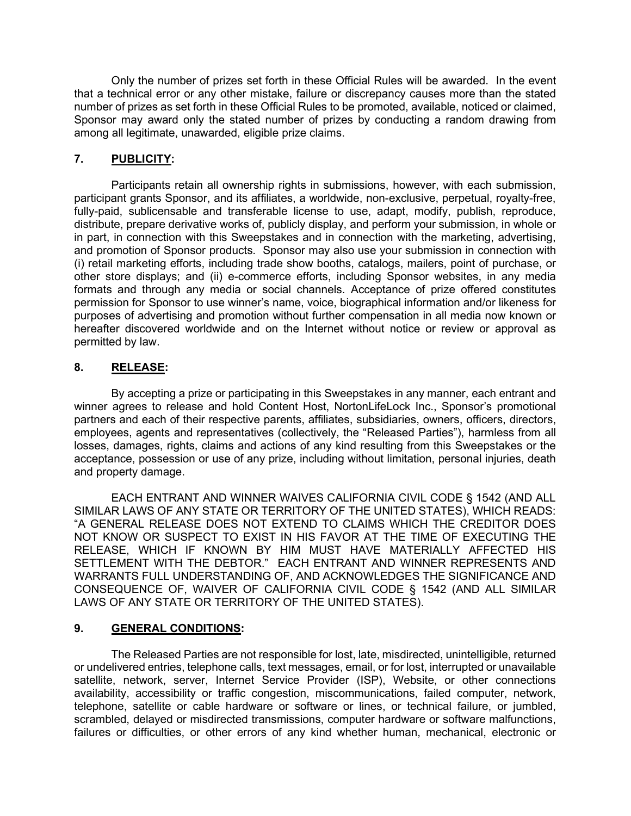Only the number of prizes set forth in these Official Rules will be awarded. In the event that a technical error or any other mistake, failure or discrepancy causes more than the stated number of prizes as set forth in these Official Rules to be promoted, available, noticed or claimed, Sponsor may award only the stated number of prizes by conducting a random drawing from among all legitimate, unawarded, eligible prize claims.

### 7. PUBLICITY:

Participants retain all ownership rights in submissions, however, with each submission, participant grants Sponsor, and its affiliates, a worldwide, non-exclusive, perpetual, royalty-free, fully-paid, sublicensable and transferable license to use, adapt, modify, publish, reproduce, distribute, prepare derivative works of, publicly display, and perform your submission, in whole or in part, in connection with this Sweepstakes and in connection with the marketing, advertising, and promotion of Sponsor products. Sponsor may also use your submission in connection with (i) retail marketing efforts, including trade show booths, catalogs, mailers, point of purchase, or other store displays; and (ii) e-commerce efforts, including Sponsor websites, in any media formats and through any media or social channels. Acceptance of prize offered constitutes permission for Sponsor to use winner's name, voice, biographical information and/or likeness for purposes of advertising and promotion without further compensation in all media now known or hereafter discovered worldwide and on the Internet without notice or review or approval as permitted by law.

### 8. RELEASE:

By accepting a prize or participating in this Sweepstakes in any manner, each entrant and winner agrees to release and hold Content Host, NortonLifeLock Inc., Sponsor's promotional partners and each of their respective parents, affiliates, subsidiaries, owners, officers, directors, employees, agents and representatives (collectively, the "Released Parties"), harmless from all losses, damages, rights, claims and actions of any kind resulting from this Sweepstakes or the acceptance, possession or use of any prize, including without limitation, personal injuries, death and property damage.

EACH ENTRANT AND WINNER WAIVES CALIFORNIA CIVIL CODE § 1542 (AND ALL SIMILAR LAWS OF ANY STATE OR TERRITORY OF THE UNITED STATES), WHICH READS: "A GENERAL RELEASE DOES NOT EXTEND TO CLAIMS WHICH THE CREDITOR DOES NOT KNOW OR SUSPECT TO EXIST IN HIS FAVOR AT THE TIME OF EXECUTING THE RELEASE, WHICH IF KNOWN BY HIM MUST HAVE MATERIALLY AFFECTED HIS SETTLEMENT WITH THE DEBTOR." EACH ENTRANT AND WINNER REPRESENTS AND WARRANTS FULL UNDERSTANDING OF, AND ACKNOWLEDGES THE SIGNIFICANCE AND CONSEQUENCE OF, WAIVER OF CALIFORNIA CIVIL CODE § 1542 (AND ALL SIMILAR LAWS OF ANY STATE OR TERRITORY OF THE UNITED STATES).

### 9. GENERAL CONDITIONS:

The Released Parties are not responsible for lost, late, misdirected, unintelligible, returned or undelivered entries, telephone calls, text messages, email, or for lost, interrupted or unavailable satellite, network, server, Internet Service Provider (ISP), Website, or other connections availability, accessibility or traffic congestion, miscommunications, failed computer, network, telephone, satellite or cable hardware or software or lines, or technical failure, or jumbled, scrambled, delayed or misdirected transmissions, computer hardware or software malfunctions, failures or difficulties, or other errors of any kind whether human, mechanical, electronic or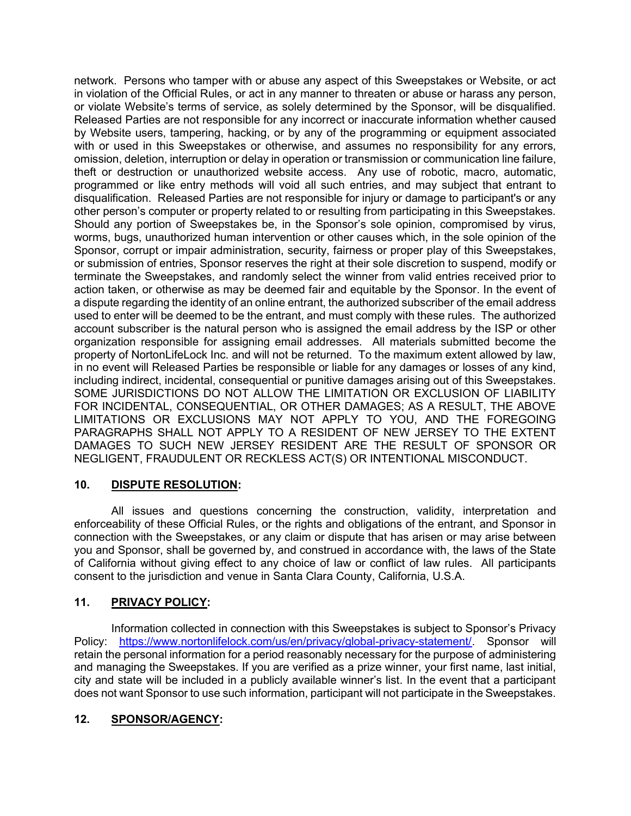network. Persons who tamper with or abuse any aspect of this Sweepstakes or Website, or act in violation of the Official Rules, or act in any manner to threaten or abuse or harass any person, or violate Website's terms of service, as solely determined by the Sponsor, will be disqualified. Released Parties are not responsible for any incorrect or inaccurate information whether caused by Website users, tampering, hacking, or by any of the programming or equipment associated with or used in this Sweepstakes or otherwise, and assumes no responsibility for any errors, omission, deletion, interruption or delay in operation or transmission or communication line failure, theft or destruction or unauthorized website access. Any use of robotic, macro, automatic, programmed or like entry methods will void all such entries, and may subject that entrant to disqualification. Released Parties are not responsible for injury or damage to participant's or any other person's computer or property related to or resulting from participating in this Sweepstakes. Should any portion of Sweepstakes be, in the Sponsor's sole opinion, compromised by virus, worms, bugs, unauthorized human intervention or other causes which, in the sole opinion of the Sponsor, corrupt or impair administration, security, fairness or proper play of this Sweepstakes, or submission of entries, Sponsor reserves the right at their sole discretion to suspend, modify or terminate the Sweepstakes, and randomly select the winner from valid entries received prior to action taken, or otherwise as may be deemed fair and equitable by the Sponsor. In the event of a dispute regarding the identity of an online entrant, the authorized subscriber of the email address used to enter will be deemed to be the entrant, and must comply with these rules. The authorized account subscriber is the natural person who is assigned the email address by the ISP or other organization responsible for assigning email addresses. All materials submitted become the property of NortonLifeLock Inc. and will not be returned. To the maximum extent allowed by law, in no event will Released Parties be responsible or liable for any damages or losses of any kind, including indirect, incidental, consequential or punitive damages arising out of this Sweepstakes. SOME JURISDICTIONS DO NOT ALLOW THE LIMITATION OR EXCLUSION OF LIABILITY FOR INCIDENTAL, CONSEQUENTIAL, OR OTHER DAMAGES; AS A RESULT, THE ABOVE LIMITATIONS OR EXCLUSIONS MAY NOT APPLY TO YOU, AND THE FOREGOING PARAGRAPHS SHALL NOT APPLY TO A RESIDENT OF NEW JERSEY TO THE EXTENT DAMAGES TO SUCH NEW JERSEY RESIDENT ARE THE RESULT OF SPONSOR OR NEGLIGENT, FRAUDULENT OR RECKLESS ACT(S) OR INTENTIONAL MISCONDUCT.

### 10. DISPUTE RESOLUTION:

All issues and questions concerning the construction, validity, interpretation and enforceability of these Official Rules, or the rights and obligations of the entrant, and Sponsor in connection with the Sweepstakes, or any claim or dispute that has arisen or may arise between you and Sponsor, shall be governed by, and construed in accordance with, the laws of the State of California without giving effect to any choice of law or conflict of law rules. All participants consent to the jurisdiction and venue in Santa Clara County, California, U.S.A.

# 11. PRIVACY POLICY:

Information collected in connection with this Sweepstakes is subject to Sponsor's Privacy Policy: https://www.nortonlifelock.com/us/en/privacy/global-privacy-statement/. Sponsor will retain the personal information for a period reasonably necessary for the purpose of administering and managing the Sweepstakes. If you are verified as a prize winner, your first name, last initial, city and state will be included in a publicly available winner's list. In the event that a participant does not want Sponsor to use such information, participant will not participate in the Sweepstakes.

# 12. SPONSOR/AGENCY: